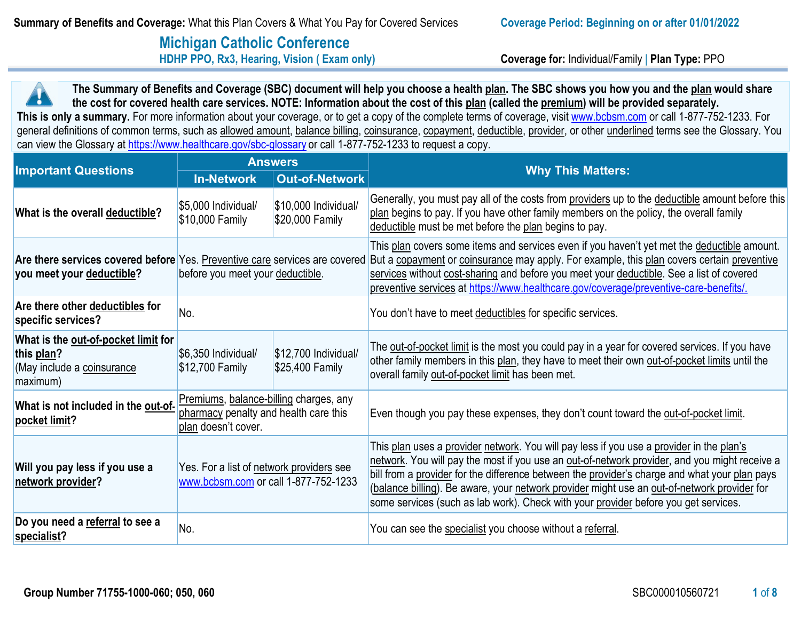# **Michigan Catholic Conference**<br> **HDHP PPO, Rx3, Hearing, Vision (Exam only)**

**Coverage for: Individual/Family | Plan Type: PPO** 

**The Summary of Benefits and Coverage (SBC) document will help you choose a health plan. The SBC shows you how you and the plan would share the cost for covered health care services. NOTE: Information about the cost of this plan (called the premium) will be provided separately.**  This is only a summary. For more information about your coverage, or to get a copy of the complete terms of coverage, visit [www.bcbsm.com](http://www.bcbsm.com/) or call 1-877-752-1233. For general definitions of common terms, such as allowed amount, balance billing, coinsurance, copayment, deductible, provider, or other underlined terms see the Glossary. You can view the Glossary a[t https://www.healthcare.gov/sbc-glossary](https://www.healthcare.gov/sbc-glossary) or call 1-877-752-1233 to request a copy.

|                                                                                                          |                                                                                                        | <b>Answers</b>                           | <b>Why This Matters:</b>                                                                                                                                                                                                                                                                                                                                                                                                                                                         |  |
|----------------------------------------------------------------------------------------------------------|--------------------------------------------------------------------------------------------------------|------------------------------------------|----------------------------------------------------------------------------------------------------------------------------------------------------------------------------------------------------------------------------------------------------------------------------------------------------------------------------------------------------------------------------------------------------------------------------------------------------------------------------------|--|
| <b>Important Questions</b>                                                                               | <b>In-Network</b>                                                                                      | <b>Out-of-Network</b>                    |                                                                                                                                                                                                                                                                                                                                                                                                                                                                                  |  |
| What is the overall deductible?                                                                          | \$5,000 Individual/<br>\$10,000 Family                                                                 | \$10,000 Individual/<br>\$20,000 Family  | Generally, you must pay all of the costs from providers up to the deductible amount before this<br>plan begins to pay. If you have other family members on the policy, the overall family<br>deductible must be met before the plan begins to pay.                                                                                                                                                                                                                               |  |
| Are there services covered before Yes. Preventive care services are covered<br>you meet your deductible? | before you meet your deductible.                                                                       |                                          | This plan covers some items and services even if you haven't yet met the deductible amount.<br>But a copayment or coinsurance may apply. For example, this plan covers certain preventive<br>services without cost-sharing and before you meet your deductible. See a list of covered<br>preventive services at https://www.healthcare.gov/coverage/preventive-care-benefits/.                                                                                                   |  |
| Are there other deductibles for<br>specific services?                                                    | No.                                                                                                    |                                          | You don't have to meet deductibles for specific services.                                                                                                                                                                                                                                                                                                                                                                                                                        |  |
| What is the out-of-pocket limit for<br>this plan?<br>(May include a coinsurance<br>maximum)              | \$6,350 Individual<br>\$12,700 Family                                                                  | $$12,700$ Individual/<br>\$25,400 Family | The out-of-pocket limit is the most you could pay in a year for covered services. If you have<br>other family members in this plan, they have to meet their own out-of-pocket limits until the<br>overall family out-of-pocket limit has been met.                                                                                                                                                                                                                               |  |
| What is not included in the out-of-<br>pocket limit?                                                     | Premiums, balance-billing charges, any<br>pharmacy penalty and health care this<br>plan doesn't cover. |                                          | Even though you pay these expenses, they don't count toward the out-of-pocket limit.                                                                                                                                                                                                                                                                                                                                                                                             |  |
| Will you pay less if you use a<br>network provider?                                                      | Yes. For a list of network providers see<br>www.bcbsm.com or call 1-877-752-1233                       |                                          | This plan uses a provider network. You will pay less if you use a provider in the plan's<br>network. You will pay the most if you use an out-of-network provider, and you might receive a<br>bill from a provider for the difference between the provider's charge and what your plan pays<br>(balance billing). Be aware, your network provider might use an out-of-network provider for<br>some services (such as lab work). Check with your provider before you get services. |  |
| Do you need a referral to see a<br>specialist?                                                           | No.                                                                                                    |                                          | You can see the specialist you choose without a referral.                                                                                                                                                                                                                                                                                                                                                                                                                        |  |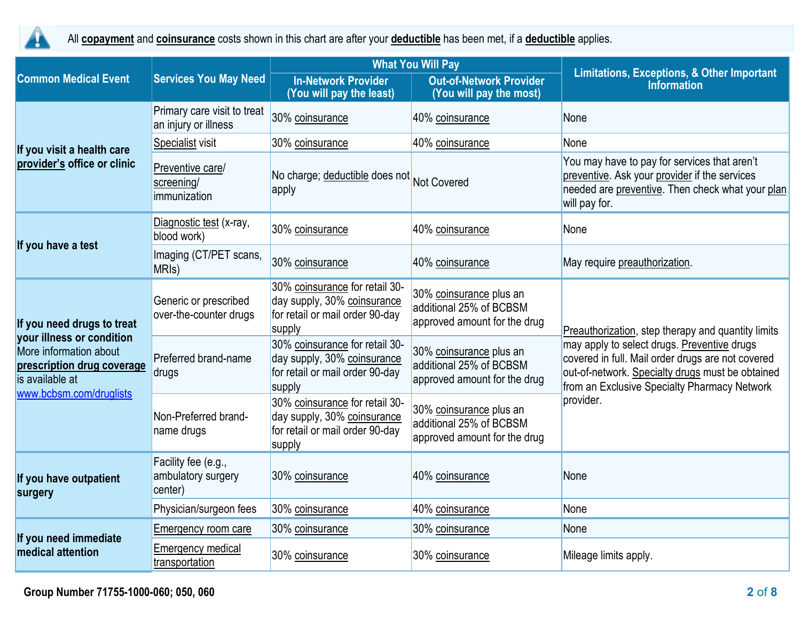

All **copayment** and **coinsurance** costs shown in this chart are after your **deductible** has been met, if a **deductible** applies.

|                                                                                                                                                               |                                                                       |                                                                                                            | <b>What You Will Pay</b>                                                           | <b>Limitations, Exceptions, &amp; Other Important</b><br><b>Information</b>                                                                                                                                                                                             |  |
|---------------------------------------------------------------------------------------------------------------------------------------------------------------|-----------------------------------------------------------------------|------------------------------------------------------------------------------------------------------------|------------------------------------------------------------------------------------|-------------------------------------------------------------------------------------------------------------------------------------------------------------------------------------------------------------------------------------------------------------------------|--|
| <b>Common Medical Event</b>                                                                                                                                   | <b>Services You May Need</b>                                          | <b>In-Network Provider</b><br>(You will pay the least)                                                     | <b>Out-of-Network Provider</b><br>(You will pay the most)                          |                                                                                                                                                                                                                                                                         |  |
|                                                                                                                                                               | Primary care visit to treat<br>an injury or illness                   | 30% coinsurance                                                                                            | 40% coinsurance                                                                    | None                                                                                                                                                                                                                                                                    |  |
| If you visit a health care                                                                                                                                    | Specialist visit                                                      | 30% coinsurance                                                                                            | 40% coinsurance                                                                    | None                                                                                                                                                                                                                                                                    |  |
| provider's office or clinic                                                                                                                                   | Preventive care/<br>screening/<br>immunization                        | No charge; deductible does not Not Covered<br>apply                                                        |                                                                                    | You may have to pay for services that aren't<br>preventive. Ask your provider if the services<br>needed are preventive. Then check what your plan<br>will pay for.                                                                                                      |  |
|                                                                                                                                                               | Diagnostic test (x-ray,<br>blood work)                                | 30% coinsurance                                                                                            | 40% coinsurance                                                                    | None                                                                                                                                                                                                                                                                    |  |
| If you have a test                                                                                                                                            | Imaging (CT/PET scans,<br>30% coinsurance<br>40% coinsurance<br>MRIs) |                                                                                                            | May require preauthorization.                                                      |                                                                                                                                                                                                                                                                         |  |
| If you need drugs to treat<br>your illness or condition<br>More information about<br>prescription drug coverage<br>is available at<br>www.bcbsm.com/druglists | Generic or prescribed<br>over-the-counter drugs                       | 30% coinsurance for retail 30-<br>day supply, 30% coinsurance<br>for retail or mail order 90-day<br>supply | 30% coinsurance plus an<br>additional 25% of BCBSM<br>approved amount for the drug | Preauthorization, step therapy and quantity limits<br>may apply to select drugs. Preventive drugs<br>covered in full. Mail order drugs are not covered<br>out-of-network. Specialty drugs must be obtained<br>from an Exclusive Specialty Pharmacy Network<br>provider. |  |
|                                                                                                                                                               | Preferred brand-name<br>drugs                                         | 30% coinsurance for retail 30-<br>day supply, 30% coinsurance<br>for retail or mail order 90-day<br>supply | 30% coinsurance plus an<br>additional 25% of BCBSM<br>approved amount for the drug |                                                                                                                                                                                                                                                                         |  |
|                                                                                                                                                               | Non-Preferred brand-<br>name drugs                                    | 30% coinsurance for retail 30-<br>day supply, 30% coinsurance<br>for retail or mail order 90-day<br>supply | 30% coinsurance plus an<br>additional 25% of BCBSM<br>approved amount for the drug |                                                                                                                                                                                                                                                                         |  |
| If you have outpatient<br>surgery                                                                                                                             | Facility fee (e.g.,<br>ambulatory surgery<br>center)                  | 30% coinsurance                                                                                            | 40% coinsurance                                                                    | None                                                                                                                                                                                                                                                                    |  |
|                                                                                                                                                               | Physician/surgeon fees                                                | 30% coinsurance                                                                                            | 40% coinsurance                                                                    | None                                                                                                                                                                                                                                                                    |  |
|                                                                                                                                                               | Emergency room care                                                   | 30% coinsurance                                                                                            | 30% coinsurance                                                                    | None                                                                                                                                                                                                                                                                    |  |
| If you need immediate<br>medical attention                                                                                                                    | <b>Emergency medical</b><br>transportation                            | 30% coinsurance                                                                                            | 30% coinsurance                                                                    | Mileage limits apply.                                                                                                                                                                                                                                                   |  |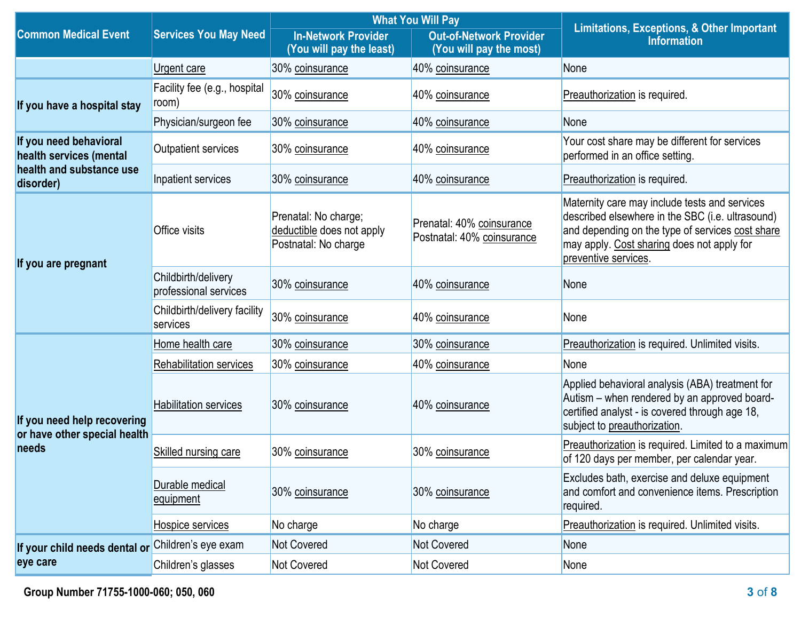|                                                             | <b>Services You May Need</b>                 |                                                                           | <b>What You Will Pay</b>                                  |                                                                                                                                                                                                                             |  |
|-------------------------------------------------------------|----------------------------------------------|---------------------------------------------------------------------------|-----------------------------------------------------------|-----------------------------------------------------------------------------------------------------------------------------------------------------------------------------------------------------------------------------|--|
| <b>Common Medical Event</b>                                 |                                              | <b>In-Network Provider</b><br>(You will pay the least)                    | <b>Out-of-Network Provider</b><br>(You will pay the most) | <b>Limitations, Exceptions, &amp; Other Important</b><br><b>Information</b>                                                                                                                                                 |  |
|                                                             | Urgent care                                  | 30% coinsurance                                                           | 40% coinsurance                                           | None                                                                                                                                                                                                                        |  |
| If you have a hospital stay                                 | Facility fee (e.g., hospital<br>room)        | 30% coinsurance                                                           | 40% coinsurance                                           | Preauthorization is required.                                                                                                                                                                                               |  |
|                                                             | Physician/surgeon fee                        | 30% coinsurance                                                           | 40% coinsurance                                           | None                                                                                                                                                                                                                        |  |
| If you need behavioral<br>health services (mental           | <b>Outpatient services</b>                   | 30% coinsurance                                                           | 40% coinsurance                                           | Your cost share may be different for services<br>performed in an office setting.                                                                                                                                            |  |
| health and substance use<br>disorder)                       | Inpatient services                           | 30% coinsurance                                                           | 40% coinsurance                                           | Preauthorization is required.                                                                                                                                                                                               |  |
| If you are pregnant                                         | <b>Office visits</b>                         | Prenatal: No charge;<br>deductible does not apply<br>Postnatal: No charge | Prenatal: 40% coinsurance<br>Postnatal: 40% coinsurance   | Maternity care may include tests and services<br>described elsewhere in the SBC (i.e. ultrasound)<br>and depending on the type of services cost share<br>may apply. Cost sharing does not apply for<br>preventive services. |  |
|                                                             | Childbirth/delivery<br>professional services | 30% coinsurance                                                           | 40% coinsurance                                           | None                                                                                                                                                                                                                        |  |
|                                                             | Childbirth/delivery facility<br>services     | 30% coinsurance                                                           | 40% coinsurance                                           | None                                                                                                                                                                                                                        |  |
|                                                             | Home health care                             | 30% coinsurance                                                           | 30% coinsurance                                           | Preauthorization is required. Unlimited visits.                                                                                                                                                                             |  |
|                                                             | <b>Rehabilitation services</b>               | 30% coinsurance                                                           | 40% coinsurance                                           | None                                                                                                                                                                                                                        |  |
| If you need help recovering<br>or have other special health | <b>Habilitation services</b>                 | 30% coinsurance                                                           | 40% coinsurance                                           | Applied behavioral analysis (ABA) treatment for<br>Autism - when rendered by an approved board-<br>certified analyst - is covered through age 18,<br>subject to preauthorization.                                           |  |
| needs                                                       | <b>Skilled nursing care</b>                  | 30% coinsurance                                                           | 30% coinsurance                                           | Preauthorization is required. Limited to a maximum<br>of 120 days per member, per calendar year.                                                                                                                            |  |
|                                                             | Durable medical<br>equipment                 | 30% coinsurance                                                           | 30% coinsurance                                           | Excludes bath, exercise and deluxe equipment<br>and comfort and convenience items. Prescription<br>required.                                                                                                                |  |
|                                                             | Hospice services                             | No charge                                                                 | No charge                                                 | Preauthorization is required. Unlimited visits.                                                                                                                                                                             |  |
| If your child needs dental or                               | Children's eye exam                          | <b>Not Covered</b>                                                        | Not Covered                                               | None                                                                                                                                                                                                                        |  |
| eye care                                                    | Children's glasses                           | <b>Not Covered</b>                                                        | Not Covered                                               | None                                                                                                                                                                                                                        |  |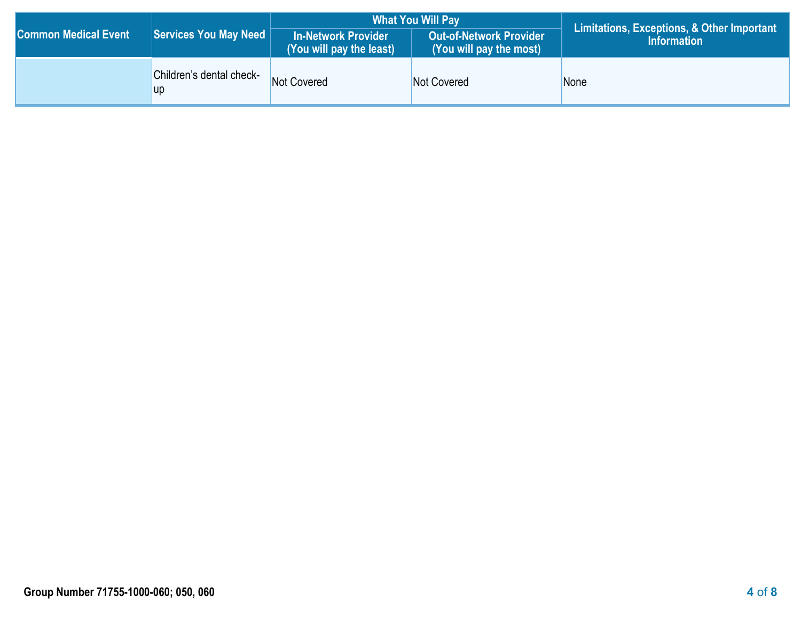|                             |                                       |                                                 | <b>What You Will Pay</b>                           | Limitations, Exceptions, & Other Important |  |
|-----------------------------|---------------------------------------|-------------------------------------------------|----------------------------------------------------|--------------------------------------------|--|
| <b>Common Medical Event</b> | Services You May Need                 | In-Network Provider<br>(You will pay the least) | Out-of-Network Provider<br>(You will pay the most) | <b>Information</b>                         |  |
|                             | Children's dental check-<br><b>up</b> | Not Covered                                     | Not Covered                                        | None                                       |  |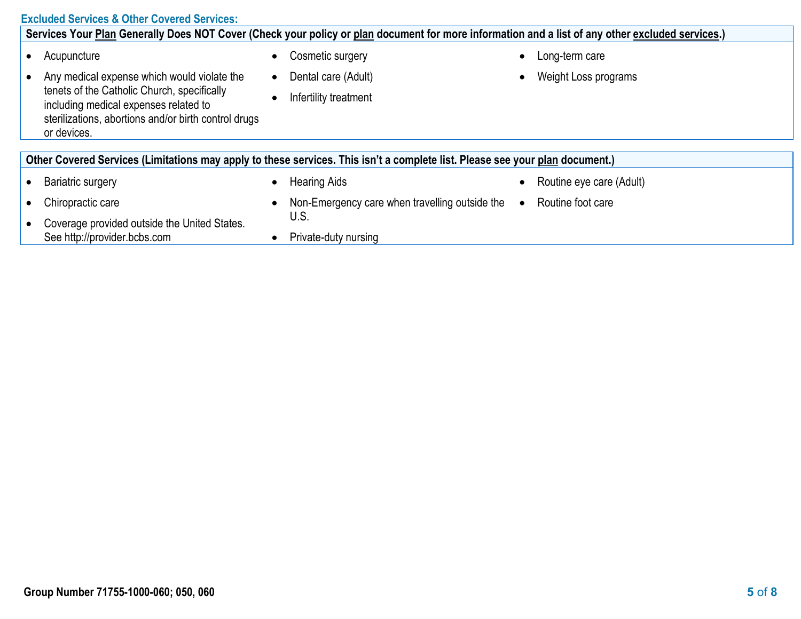# **Excluded Services & Other Covered Services:**

| Services Your Plan Generally Does NOT Cover (Check your policy or plan document for more information and a list of any other excluded services.)            |           |                                                |           |                          |  |
|-------------------------------------------------------------------------------------------------------------------------------------------------------------|-----------|------------------------------------------------|-----------|--------------------------|--|
| Acupuncture                                                                                                                                                 |           | Cosmetic surgery                               | $\bullet$ | Long-term care           |  |
| Any medical expense which would violate the                                                                                                                 | $\bullet$ | Dental care (Adult)                            |           | Weight Loss programs     |  |
| tenets of the Catholic Church, specifically<br>including medical expenses related to<br>sterilizations, abortions and/or birth control drugs<br>or devices. |           | Infertility treatment                          |           |                          |  |
|                                                                                                                                                             |           |                                                |           |                          |  |
| Other Covered Services (Limitations may apply to these services. This isn't a complete list. Please see your plan document.)                                |           |                                                |           |                          |  |
| Bariatric surgery                                                                                                                                           |           | <b>Hearing Aids</b>                            |           | Routine eye care (Adult) |  |
| Chiropractic care                                                                                                                                           |           | Non-Emergency care when travelling outside the | $\bullet$ | Routine foot care        |  |
| Coverage provided outside the United States.                                                                                                                |           | U.S.                                           |           |                          |  |
| See http://provider.bcbs.com                                                                                                                                |           | Private-duty nursing                           |           |                          |  |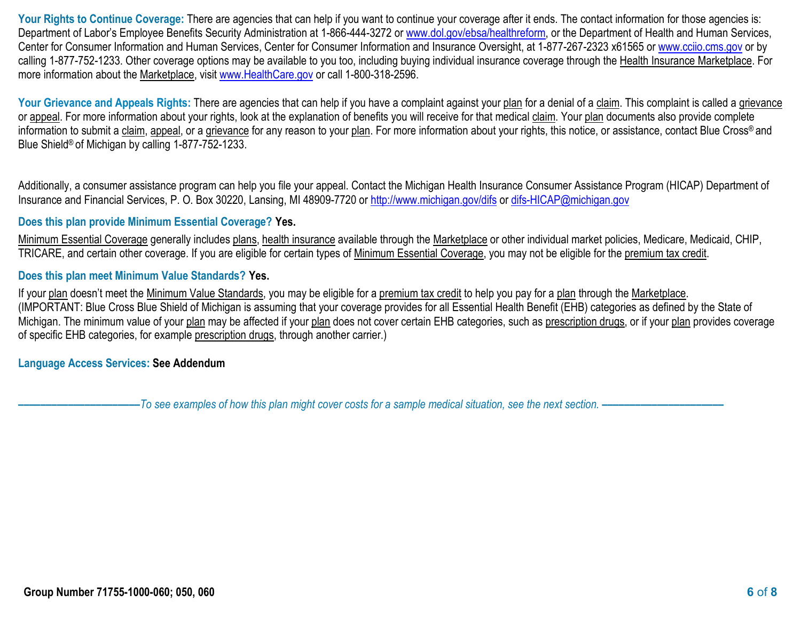Your Rights to Continue Coverage: There are agencies that can help if you want to continue your coverage after it ends. The contact information for those agencies is: Department of Labor's Employee Benefits Security Administration at 1-866-444-3272 or [www.dol.gov/ebsa/healthreform,](http://www.dol.gov/ebsa/healthreform) or the Department of Health and Human Services, Center for Consumer Information and Human Services, Center for Consumer Information and Insurance Oversight, at 1-877-267-2323 x61565 or [www.cciio.cms.gov](http://www.cciio.cms.gov/) or by calling 1-877-752-1233. Other coverage options may be available to you too, including buying individual insurance coverage through the Health Insurance Marketplace. For more information about the Marketplace, visit [www.HealthCare.gov](http://www.healthcare.gov/) or call 1-800-318-2596.

Your Grievance and Appeals Rights: There are agencies that can help if you have a complaint against your plan for a denial of a claim. This complaint is called a grievance or appeal. For more information about your rights, look at the explanation of benefits you will receive for that medical claim. Your plan documents also provide complete information to submit a claim, appeal, or a grievance for any reason to your plan. For more information about your rights, this notice, or assistance, contact Blue Cross® and Blue Shield® of Michigan by calling 1-877-752-1233.

Additionally, a consumer assistance program can help you file your appeal. Contact the Michigan Health Insurance Consumer Assistance Program (HICAP) Department of Insurance and Financial Services, P. O. Box 30220, Lansing, MI 48909-7720 or<http://www.michigan.gov/difs> or [difs-HICAP@michigan.gov](mailto:difs-HICAP@michigan.gov)

# **Does this plan provide Minimum Essential Coverage? Yes.**

Minimum Essential Coverage generally includes plans, health insurance available through the Marketplace or other individual market policies, Medicare, Medicaid, CHIP, TRICARE, and certain other coverage. If you are eligible for certain types of Minimum Essential Coverage, you may not be eligible for the premium tax credit.

### **Does this plan meet Minimum Value Standards? Yes.**

If your plan doesn't meet the Minimum Value Standards, you may be eligible for a premium tax credit to help you pay for a plan through the Marketplace. (IMPORTANT: Blue Cross Blue Shield of Michigan is assuming that your coverage provides for all Essential Health Benefit (EHB) categories as defined by the State of Michigan. The minimum value of your plan may be affected if your plan does not cover certain EHB categories, such as prescription drugs, or if your plan provides coverage of specific EHB categories, for example prescription drugs, through another carrier.)

**Language Access Services: See Addendum**

**––––––––––––––––––––––***To see examples of how this plan might cover costs for a sample medical situation, see the next section. –––––––––––***–––––––––––**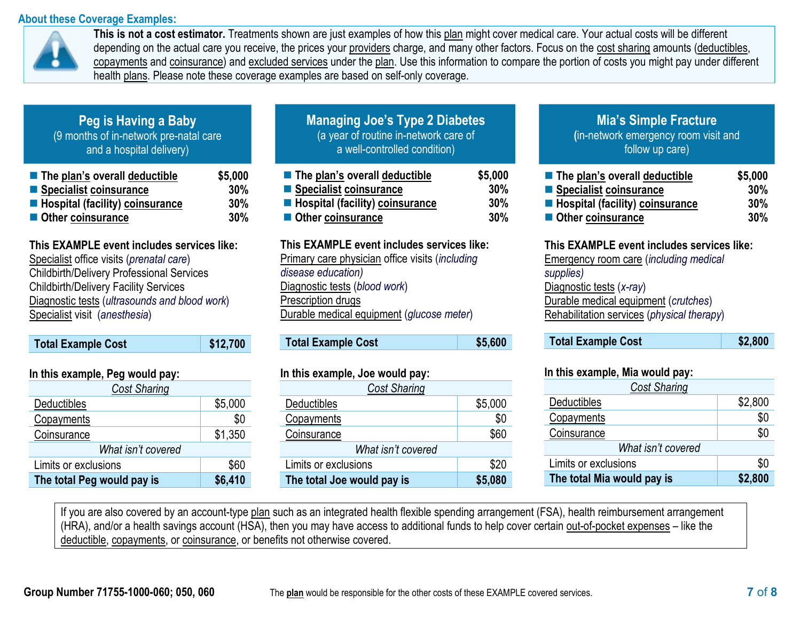## **About these Coverage Examples:**



**This is not a cost estimator.** Treatments shown are just examples of how this plan might cover medical care. Your actual costs will be different depending on the actual care you receive, the prices your providers charge, and many other factors. Focus on the cost sharing amounts (deductibles, copayments and coinsurance) and excluded services under the plan. Use this information to compare the portion of costs you might pay under different health plans. Please note these coverage examples are based on self-only coverage.

# **Peg is Having a Baby** (9 months of in-network pre-natal care and a hospital delivery)

| ■ The plan's overall deductible          | \$5,000 |
|------------------------------------------|---------|
| Specialist coinsurance                   | 30%     |
| <b>E</b> Hospital (facility) coinsurance | 30%     |
| Other coinsurance                        | 30%     |

# **This EXAMPLE event includes services like:**

 Specialist office visits (*prenatal care*) Childbirth/Delivery Professional Services Childbirth/Delivery Facility Services Diagnostic tests (*ultrasounds and blood work*) Specialist visit (*anesthesia*)

| <b>Total Example Cost</b> | $\frac{1}{2}$ \$12,700 |
|---------------------------|------------------------|
|                           |                        |

 **In this example, Peg would pay:**

| III UIIS CAAIIIPIC, FCY WUUIU PAY. |         |  |  |
|------------------------------------|---------|--|--|
| Cost Sharing                       |         |  |  |
| Deductibles                        | \$5,000 |  |  |
| Copayments                         | \$0     |  |  |
| Coinsurance                        | \$1,350 |  |  |
| What isn't covered                 |         |  |  |
| Limits or exclusions               | \$60    |  |  |
| The total Peg would pay is         | \$6,410 |  |  |

| <b>Managing Joe's Type 2 Diabetes</b> |
|---------------------------------------|
| (a year of routine in-network care of |
| a well-controlled condition)          |
|                                       |

| $\blacksquare$ The plan's overall deductible | \$5,000 |
|----------------------------------------------|---------|
| ■ Specialist coinsurance                     | 30%     |
| <b>E</b> Hospital (facility) coinsurance     | 30%     |
| Other coinsurance                            | 30%     |

#### **This EXAMPLE event includes services like:**

Primary care physician office visits (*including disease education)* Diagnostic tests (*blood work*) Prescription drugs Durable medical equipment (*glucose meter*)

| <b>Total Example Cost</b> | \$5,600 |
|---------------------------|---------|
|---------------------------|---------|

# **In this example, Joe would pay:**

| <b>Cost Sharing</b>        |         |  |  |  |
|----------------------------|---------|--|--|--|
| Deductibles                | \$5,000 |  |  |  |
| Copayments                 | \$0     |  |  |  |
| Coinsurance                | \$60    |  |  |  |
| What isn't covered         |         |  |  |  |
| Limits or exclusions       | \$20    |  |  |  |
| The total Joe would pay is | \$5,080 |  |  |  |

# **Mia's Simple Fracture**

**(**in-network emergency room visit and follow up care)

| ■ The plan's overall deductible          | \$5,000 |
|------------------------------------------|---------|
| ■ Specialist coinsurance                 | 30%     |
| <b>E</b> Hospital (facility) coinsurance | 30%     |
| ■ Other coinsurance                      | 30%     |

### **This EXAMPLE event includes services like:** Emergency room care (*including medical supplies)* Diagnostic tests (*x-ray*) Durable medical equipment (*crutches*) Rehabilitation services (*physical therapy*)

#### **In this example, Mia would pay:**

| <b>Cost Sharing</b>        |         |
|----------------------------|---------|
| Deductibles                | \$2,800 |
| Copayments                 | \$0     |
| Coinsurance                | \$0     |
| What isn't covered         |         |
| Limits or exclusions       | \$0     |
| The total Mia would pay is | \$2,800 |

If you are also covered by an account-type plan such as an integrated health flexible spending arrangement (FSA), health reimbursement arrangement (HRA), and/or a health savings account (HSA), then you may have access to additional funds to help cover certain out-of-pocket expenses – like the deductible, copayments, or coinsurance, or benefits not otherwise covered.